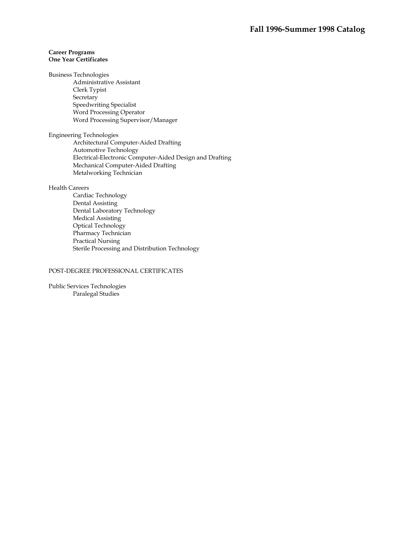# **Career Programs One Year Certificates**

Business Technologies

Administrative Assistant Clerk Typist **Secretary** Speedwriting Specialist Word Processing Operator Word Processing Supervisor/Manager

Engineering Technologies Architectural Computer-Aided Drafting Automotive Technology Electrical-Electronic Computer-Aided Design and Drafting Mechanical Computer-Aided Drafting Metalworking Technician

# Health Careers

Cardiac Technology Dental Assisting Dental Laboratory Technology Medical Assisting Optical Technology Pharmacy Technician Practical Nursing Sterile Processing and Distribution Technology

# POST-DEGREE PROFESSIONAL CERTIFICATES

Public Services Technologies Paralegal Studies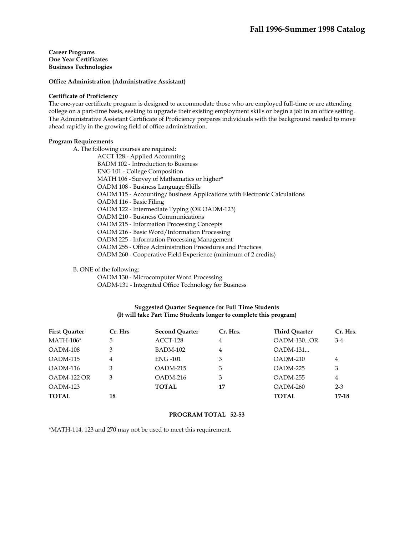## **Office Administration (Administrative Assistant)**

#### **Certificate of Proficiency**

The one-year certificate program is designed to accommodate those who are employed full-time or are attending college on a part-time basis, seeking to upgrade their existing employment skills or begin a job in an office setting. The Administrative Assistant Certificate of Proficiency prepares individuals with the background needed to move ahead rapidly in the growing field of office administration.

## **Program Requirements**

 A. The following courses are required: ACCT 128 - Applied Accounting BADM 102 - Introduction to Business ENG 101 - College Composition MATH 106 - Survey of Mathematics or higher\* OADM 108 - Business Language Skills OADM 115 - Accounting/Business Applications with Electronic Calculations OADM 116 - Basic Filing OADM 122 - Intermediate Typing (OR OADM-123) OADM 210 - Business Communications OADM 215 - Information Processing Concepts OADM 216 - Basic Word/Information Processing OADM 225 - Information Processing Management OADM 255 - Office Administration Procedures and Practices OADM 260 - Cooperative Field Experience (minimum of 2 credits)

B. ONE of the following:

OADM 130 - Microcomputer Word Processing

OADM-131 - Integrated Office Technology for Business

# **Suggested Quarter Sequence for Full Time Students (It will take Part Time Students longer to complete this program)**

| <b>First Quarter</b> | Cr. Hrs | <b>Second Quarter</b> | Cr. Hrs. | <b>Third Ouarter</b> | Cr. Hrs.       |
|----------------------|---------|-----------------------|----------|----------------------|----------------|
| $MATH-106*$          | 5       | ACCT-128              | 4        | $OADM-130OR$         | $3-4$          |
| OADM-108             | 3       | <b>BADM-102</b>       | 4        | $OADM-131$           |                |
| OADM-115             | 4       | <b>ENG-101</b>        | 3        | $OADM-210$           | 4              |
| OADM-116             | 3       | $OADM-215$            | 3        | $OADM-225$           | 3              |
| OADM-122 OR          | 3       | $OADM-216$            | 3        | $OADM-255$           | $\overline{4}$ |
| OADM-123             |         | <b>TOTAL</b>          | 17       | $OADM-260$           | $2 - 3$        |
| <b>TOTAL</b>         | 18      |                       |          | TOTAL                | 17-18          |

#### **PROGRAM TOTAL 52-53**

\*MATH-114, 123 and 270 may not be used to meet this requirement.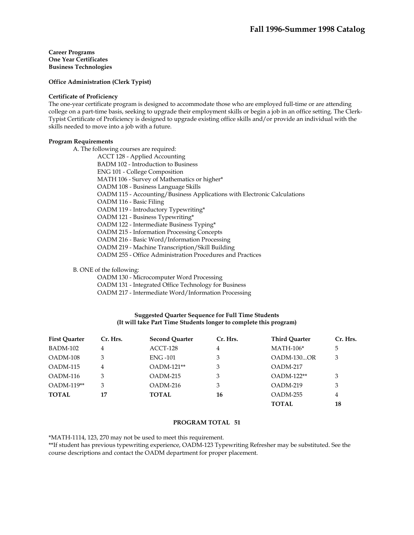**Office Administration (Clerk Typist)** 

#### **Certificate of Proficiency**

The one-year certificate program is designed to accommodate those who are employed full-time or are attending college on a part-time basis, seeking to upgrade their employment skills or begin a job in an office setting. The Clerk-Typist Certificate of Proficiency is designed to upgrade existing office skills and/or provide an individual with the skills needed to move into a job with a future.

## **Program Requirements**

 A. The following courses are required: ACCT 128 - Applied Accounting BADM 102 - Introduction to Business ENG 101 - College Composition MATH 106 - Survey of Mathematics or higher\* OADM 108 - Business Language Skills OADM 115 - Accounting/Business Applications with Electronic Calculations OADM 116 - Basic Filing OADM 119 - Introductory Typewriting\* OADM 121 - Business Typewriting\* OADM 122 - Intermediate Business Typing\* OADM 215 - Information Processing Concepts OADM 216 - Basic Word/Information Processing OADM 219 - Machine Transcription/Skill Building OADM 255 - Office Administration Procedures and Practices

B. ONE of the following:

OADM 130 - Microcomputer Word Processing

OADM 131 - Integrated Office Technology for Business

OADM 217 - Intermediate Word/Information Processing

# **Suggested Quarter Sequence for Full Time Students (It will take Part Time Students longer to complete this program)**

| <b>First Ouarter</b> | Cr. Hrs. | <b>Second Quarter</b> | Cr. Hrs. | <b>Third Quarter</b> | Cr. Hrs. |
|----------------------|----------|-----------------------|----------|----------------------|----------|
| BADM-102             | 4        | ACCT-128              | 4        | $MATH-106*$          | 5        |
| OADM-108             | 3        | <b>ENG-101</b>        | 3        | OADM-130OR           | 3        |
| OADM-115             | 4        | $OADM-121**$          | 3        | OADM-217             |          |
| OADM-116             | 3        | $OADM-215$            | 3        | $OADM-122**$         | 3        |
| OADM-119**           | 3        | $OADM-216$            | 3        | $OADM-219$           | 3        |
| <b>TOTAL</b>         | 17       | <b>TOTAL</b>          | 16       | OADM-255             | 4        |
|                      |          |                       |          | <b>TOTAL</b>         | 18       |

# **PROGRAM TOTAL 51**

\*MATH-1114, 123, 270 may not be used to meet this requirement.

\*\*If student has previous typewriting experience, OADM-123 Typewriting Refresher may be substituted. See the course descriptions and contact the OADM department for proper placement.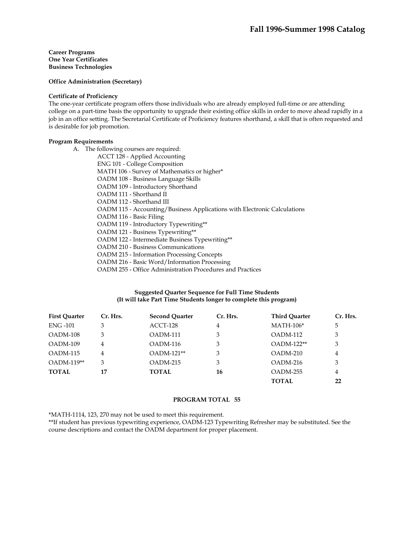**Office Administration (Secretary)** 

## **Certificate of Proficiency**

The one-year certificate program offers those individuals who are already employed full-time or are attending college on a part-time basis the opportunity to upgrade their existing office skills in order to move ahead rapidly in a job in an office setting. The Secretarial Certificate of Proficiency features shorthand, a skill that is often requested and is desirable for job promotion.

## **Program Requirements**

A. The following courses are required: ACCT 128 - Applied Accounting ENG 101 - College Composition MATH 106 - Survey of Mathematics or higher\* OADM 108 - Business Language Skills OADM 109 - Introductory Shorthand OADM 111 - Shorthand II OADM 112 - Shorthand III OADM 115 - Accounting/Business Applications with Electronic Calculations OADM 116 - Basic Filing OADM 119 - Introductory Typewriting\*\* OADM 121 - Business Typewriting\*\* OADM 122 - Intermediate Business Typewriting\*\* OADM 210 - Business Communications OADM 215 - Information Processing Concepts OADM 216 - Basic Word/Information Processing OADM 255 - Office Administration Procedures and Practices

# **Suggested Quarter Sequence for Full Time Students (It will take Part Time Students longer to complete this program)**

| <b>First Ouarter</b> | Cr. Hrs. | <b>Second Ouarter</b> | Cr. Hrs. | <b>Third Quarter</b> | Cr. Hrs. |
|----------------------|----------|-----------------------|----------|----------------------|----------|
| <b>ENG-101</b>       | 3        | ACCT-128              | 4        | $MATH-106*$          | 5        |
| OADM-108             | 3        | OADM-111              | 3        | OADM-112             | 3        |
| $OADM-109$           | 4        | OADM-116              | 3        | OADM-122**           | 3        |
| OADM-115             | 4        | $OADM-121**$          | 3        | $OADM-210$           | 4        |
| <b>OADM-119**</b>    | 3        | $OADM-215$            | 3        | $OADM-216$           | 3        |
| <b>TOTAL</b>         | 17       | TOTAL                 | 16       | OADM-255             | 4        |
|                      |          |                       |          | TOTAL                | 22       |

#### **PROGRAM TOTAL 55**

\*MATH-1114, 123, 270 may not be used to meet this requirement.

\*\*If student has previous typewriting experience, OADM-123 Typewriting Refresher may be substituted. See the course descriptions and contact the OADM department for proper placement.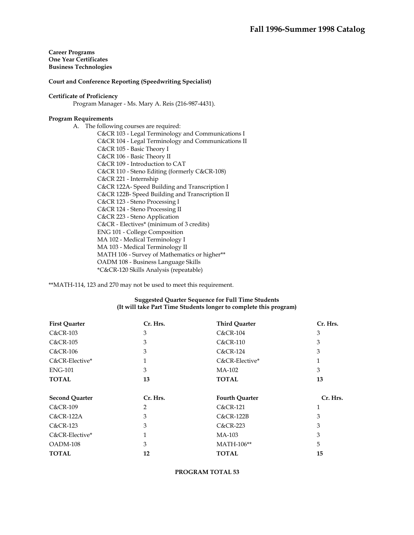## **Court and Conference Reporting (Speedwriting Specialist)**

#### **Certificate of Proficiency**

Program Manager - Ms. Mary A. Reis (216-987-4431).

## **Program Requirements**

A. The following courses are required: C&CR 103 - Legal Terminology and Communications I C&CR 104 - Legal Terminology and Communications II C&CR 105 - Basic Theory I C&CR 106 - Basic Theory II C&CR 109 - Introduction to CAT C&CR 110 - Steno Editing (formerly C&CR-108) C&CR 221 - Internship C&CR 122A- Speed Building and Transcription I C&CR 122B- Speed Building and Transcription II C&CR 123 - Steno Processing I C&CR 124 - Steno Processing II C&CR 223 - Steno Application C&CR - Electives\* (minimum of 3 credits) ENG 101 - College Composition MA 102 - Medical Terminology I MA 103 - Medical Terminology II MATH 106 - Survey of Mathematics or higher\*\* OADM 108 - Business Language Skills \*C&CR-120 Skills Analysis (repeatable)

\*\*MATH-114, 123 and 270 may not be used to meet this requirement.

## **Suggested Quarter Sequence for Full Time Students (It will take Part Time Students longer to complete this program)**

| <b>First Quarter</b>  | Cr. Hrs. | <b>Third Quarter</b>  | Cr. Hrs. |
|-----------------------|----------|-----------------------|----------|
| $C&C$ R-103           | 3        | <b>C&amp;CR-104</b>   | 3        |
| <b>C&amp;CR-105</b>   | 3        | <b>C&amp;CR-110</b>   | 3        |
| $C&CR-106$            | 3        | <b>C&amp;CR-124</b>   | 3        |
| C&CR-Elective*        | 1        | C&CR-Elective*        | 1        |
| <b>ENG-101</b>        | 3        | MA-102                | 3        |
| <b>TOTAL</b>          | 13       | <b>TOTAL</b>          | 13       |
| <b>Second Quarter</b> | Cr. Hrs. | <b>Fourth Quarter</b> | Cr. Hrs. |
| <b>C&amp;CR-109</b>   | 2        | <b>C&amp;CR-121</b>   | 1        |
| $C&CR-122A$           | 3        | C&CR-122B             | 3        |
| <b>C&amp;CR-123</b>   | 3        | <b>C&amp;CR-223</b>   | 3        |
| C&CR-Elective*        | 1        | MA-103                | 3        |
| OADM-108              | 3        | MATH-106**            | 5        |
| <b>TOTAL</b>          | 12       | <b>TOTAL</b>          | 15       |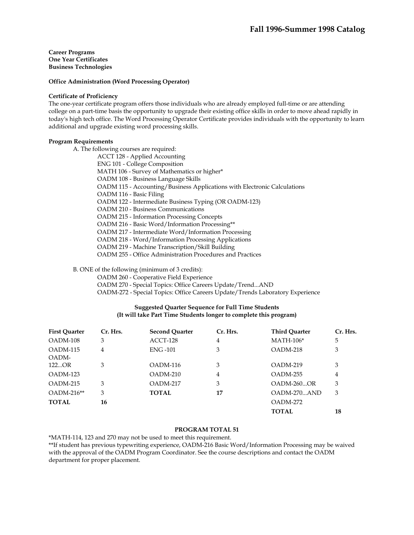# **Office Administration (Word Processing Operator)**

#### **Certificate of Proficiency**

The one-year certificate program offers those individuals who are already employed full-time or are attending college on a part-time basis the opportunity to upgrade their existing office skills in order to move ahead rapidly in today's high tech office. The Word Processing Operator Certificate provides individuals with the opportunity to learn additional and upgrade existing word processing skills.

## **Program Requirements**

A. The following courses are required:

 ACCT 128 - Applied Accounting ENG 101 - College Composition MATH 106 - Survey of Mathematics or higher\* OADM 108 - Business Language Skills OADM 115 - Accounting/Business Applications with Electronic Calculations OADM 116 - Basic Filing OADM 122 - Intermediate Business Typing (OR OADM-123) OADM 210 - Business Communications OADM 215 - Information Processing Concepts OADM 216 - Basic Word/Information Processing\*\* OADM 217 - Intermediate Word/Information Processing OADM 218 - Word/Information Processing Applications OADM 219 - Machine Transcription/Skill Building OADM 255 - Office Administration Procedures and Practices

B. ONE of the following (minimum of 3 credits):

OADM 260 - Cooperative Field Experience

OADM 270 - Special Topics: Office Careers Update/Trend...AND

OADM-272 - Special Topics: Office Careers Update/Trends Laboratory Experience

# **Suggested Quarter Sequence for Full Time Students (It will take Part Time Students longer to complete this program)**

| <b>First Ouarter</b> | Cr. Hrs. | <b>Second Ouarter</b> | Cr. Hrs. | <b>Third Ouarter</b> | Cr. Hrs. |
|----------------------|----------|-----------------------|----------|----------------------|----------|
| OADM-108             | 3        | ACCT-128              | 4        | $MATH-106*$          | 5        |
| OADM-115<br>OADM-    | 4        | <b>ENG -101</b>       | 3        | OADM-218             | 3        |
| 122OR                | 3        | OADM-116              | 3        | OADM-219             | 3        |
| OADM-123             |          | OADM-210              | 4        | OADM-255             | 4        |
| $OADM-215$           | 3        | OADM-217              | 3        | $OADM-260OR$         | 3        |
| $OADM-216**$         | 3        | <b>TOTAL</b>          | 17       | $OADM-270AND$        | 3        |
| <b>TOTAL</b>         | 16       |                       |          | OADM-272             |          |
|                      |          |                       |          | <b>TOTAL</b>         | 18       |

## **PROGRAM TOTAL 51**

\*MATH-114, 123 and 270 may not be used to meet this requirement.

\*\*If student has previous typewriting experience, OADM-216 Basic Word/Information Processing may be waived with the approval of the OADM Program Coordinator. See the course descriptions and contact the OADM department for proper placement.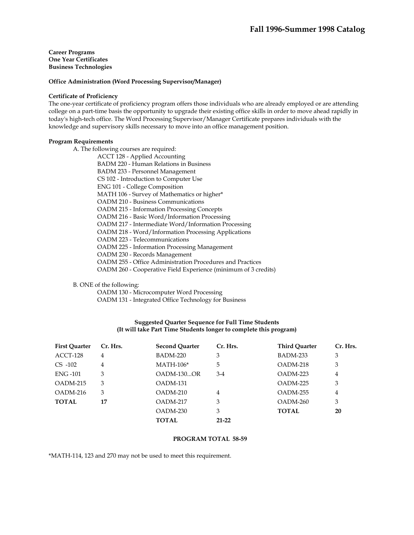#### **Office Administration (Word Processing Supervisor/Manager)**

#### **Certificate of Proficiency**

The one-year certificate of proficiency program offers those individuals who are already employed or are attending college on a part-time basis the opportunity to upgrade their existing office skills in order to move ahead rapidly in today's high-tech office. The Word Processing Supervisor/Manager Certificate prepares individuals with the knowledge and supervisory skills necessary to move into an office management position.

## **Program Requirements**

A. The following courses are required:

ACCT 128 - Applied Accounting BADM 220 - Human Relations in Business BADM 233 - Personnel Management CS 102 - Introduction to Computer Use ENG 101 - College Composition MATH 106 - Survey of Mathematics or higher\* OADM 210 - Business Communications OADM 215 - Information Processing Concepts OADM 216 - Basic Word/Information Processing OADM 217 - Intermediate Word/Information Processing OADM 218 - Word/Information Processing Applications OADM 223 - Telecommunications OADM 225 - Information Processing Management OADM 230 - Records Management OADM 255 - Office Administration Procedures and Practices OADM 260 - Cooperative Field Experience (minimum of 3 credits)

B. ONE of the following:

OADM 130 - Microcomputer Word Processing

OADM 131 - Integrated Office Technology for Business

# **Suggested Quarter Sequence for Full Time Students (It will take Part Time Students longer to complete this program)**

| <b>First Ouarter</b> | Cr. Hrs. | <b>Second Ouarter</b> | Cr. Hrs.       | <b>Third Ouarter</b> | Cr. Hrs. |
|----------------------|----------|-----------------------|----------------|----------------------|----------|
| ACCT-128             | 4        | <b>BADM-220</b>       | 3              | BADM-233             | 3        |
| $CS$ -102            | 4        | $MATH-106*$           | 5              | $OADM-218$           | 3        |
| <b>ENG-101</b>       | 3        | OADM-130OR            | $3-4$          | $OADM-223$           | 4        |
| $OADM-215$           | 3        | OADM-131              |                | $OADM-225$           | 3        |
| OADM-216             | 3        | OADM-210              | $\overline{4}$ | OADM-255             | 4        |
| <b>TOTAL</b>         | 17       | $OADM-217$            | 3              | OADM-260             | 3        |
|                      |          | $OADM-230$            | 3              | <b>TOTAL</b>         | 20       |
|                      |          | <b>TOTAL</b>          | $21-22$        |                      |          |

### **PROGRAM TOTAL 58-59**

\*MATH-114, 123 and 270 may not be used to meet this requirement.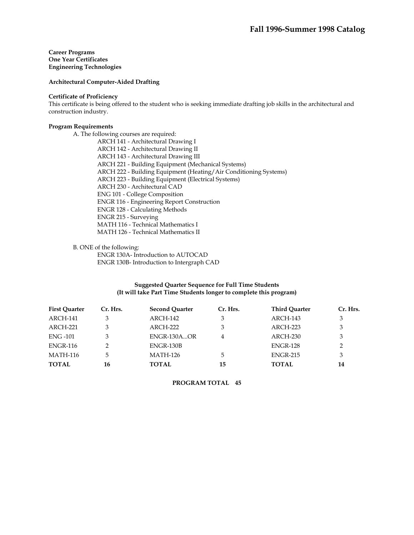# **Architectural Computer-Aided Drafting**

## **Certificate of Proficiency**

This certificate is being offered to the student who is seeking immediate drafting job skills in the architectural and construction industry.

## **Program Requirements**

A. The following courses are required:

ARCH 141 - Architectural Drawing I ARCH 142 - Architectural Drawing II ARCH 143 - Architectural Drawing III ARCH 221 - Building Equipment (Mechanical Systems) ARCH 222 - Building Equipment (Heating/Air Conditioning Systems) ARCH 223 - Building Equipment (Electrical Systems) ARCH 230 - Architectural CAD ENG 101 - College Composition ENGR 116 - Engineering Report Construction ENGR 128 - Calculating Methods ENGR 215 - Surveying MATH 116 - Technical Mathematics I MATH 126 - Technical Mathematics II

# B. ONE of the following:

 ENGR 130A- Introduction to AUTOCAD ENGR 130B- Introduction to Intergraph CAD

# **Suggested Quarter Sequence for Full Time Students (It will take Part Time Students longer to complete this program)**

| <b>First Ouarter</b> | Cr. Hrs. | <b>Second Ouarter</b> | Cr. Hrs. | <b>Third Ouarter</b> | Cr. Hrs. |
|----------------------|----------|-----------------------|----------|----------------------|----------|
| ARCH-141             |          | ARCH-142              | 3        | ARCH-143             | 3        |
| ARCH-221             | 3        | ARCH-222              | 3        | ARCH-223             | 3        |
| <b>ENG -101</b>      | 3        | ENGR-130AOR           | 4        | ARCH-230             | 3        |
| <b>ENGR-116</b>      | 2        | ENGR-130B             |          | <b>ENGR-128</b>      | 2        |
| <b>MATH-116</b>      | 5        | <b>MATH-126</b>       | 5        | <b>ENGR-215</b>      | 3        |
| <b>TOTAL</b>         | 16       | <b>TOTAL</b>          | 15       | <b>TOTAL</b>         | 14       |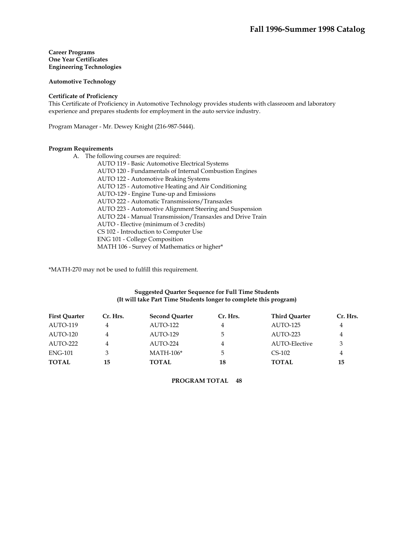## **Automotive Technology**

#### **Certificate of Proficiency**

This Certificate of Proficiency in Automotive Technology provides students with classroom and laboratory experience and prepares students for employment in the auto service industry.

Program Manager - Mr. Dewey Knight (216-987-5444).

#### **Program Requirements**

- A. The following courses are required:
	- AUTO 119 Basic Automotive Electrical Systems AUTO 120 - Fundamentals of Internal Combustion Engines AUTO 122 - Automotive Braking Systems AUTO 125 - Automotive Heating and Air Conditioning AUTO-129 - Engine Tune-up and Emissions AUTO 222 - Automatic Transmissions/Transaxles AUTO 223 - Automotive Alignment Steering and Suspension AUTO 224 - Manual Transmission/Transaxles and Drive Train AUTO - Elective (minimum of 3 credits) CS 102 - Introduction to Computer Use ENG 101 - College Composition MATH 106 - Survey of Mathematics or higher\*

\*MATH-270 may not be used to fulfill this requirement.

# **Suggested Quarter Sequence for Full Time Students (It will take Part Time Students longer to complete this program)**

| <b>First Ouarter</b> | Cr. Hrs. | <b>Second Ouarter</b> | Cr. Hrs. | <b>Third Ouarter</b> | Cr. Hrs. |
|----------------------|----------|-----------------------|----------|----------------------|----------|
| AUTO-119             | 4        | AUTO-122              | 4        | AUTO-125             | 4        |
| AUTO-120             | 4        | AUTO-129              | 5.       | AUTO-223             | 4        |
| AUTO-222             | 4        | AUTO-224              | 4        | AUTO-Elective        | 3        |
| <b>ENG-101</b>       | 3        | $MATH-106*$           | 5        | $CS-102$             | 4        |
| <b>TOTAL</b>         | 15       | TOTAL                 | 18       | <b>TOTAL</b>         | 15       |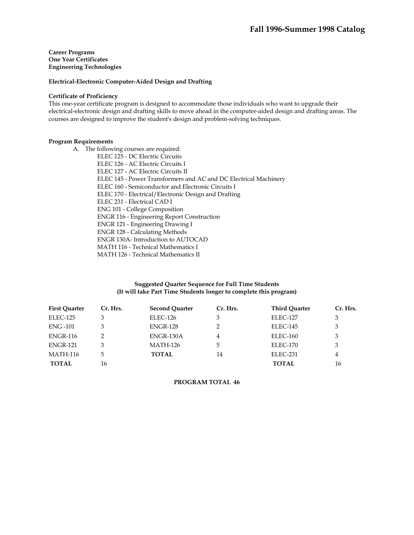## **Electrical-Electronic Computer-Aided Design and Drafting**

#### **Certificate of Proficiency**

This one-year certificate program is designed to accommodate those individuals who want to upgrade their electrical-electronic design and drafting skills to move ahead in the computer-aided design and drafting areas. The courses are designed to improve the student's design and problem-solving techniques.

## **Program Requirements**

A. The following courses are required: ELEC 125 - DC Electric Circuits ELEC 126 - AC Electric Circuits I ELEC 127 - AC Electric Circuits II ELEC 145 - Power Transformers and AC and DC Electrical Machinery ELEC 160 - Semiconductor and Electronic Circuits I ELEC 170 - Electrical/Electronic Design and Drafting ELEC 231 - Electrical CAD I ENG 101 - College Composition ENGR 116 - Engineering Report Construction ENGR 121 - Engineering Drawing I ENGR 128 - Calculating Methods ENGR 130A- Introduction to AUTOCAD MATH 116 - Technical Mathematics I MATH 126 - Technical Mathematics II

# **Suggested Quarter Sequence for Full Time Students (It will take Part Time Students longer to complete this program)**

| <b>First Quarter</b> | Cr. Hrs. | <b>Second Quarter</b> | Cr. Hrs. | <b>Third Quarter</b> | Cr. Hrs. |
|----------------------|----------|-----------------------|----------|----------------------|----------|
| ELEC-125             | 3        | ELEC-126              |          | ELEC-127             | 3        |
| <b>ENG-101</b>       |          | <b>ENGR-128</b>       |          | <b>ELEC-145</b>      | 3        |
| <b>ENGR-116</b>      |          | ENGR-130A             | 4        | ELEC-160             | 3        |
| <b>ENGR-121</b>      | 3        | MATH-126              | 5        | ELEC-170             | 3        |
| MATH-116             | 5        | <b>TOTAL</b>          | 14       | ELEC-231             | 4        |
| <b>TOTAL</b>         | 16       |                       |          | <b>TOTAL</b>         | 16       |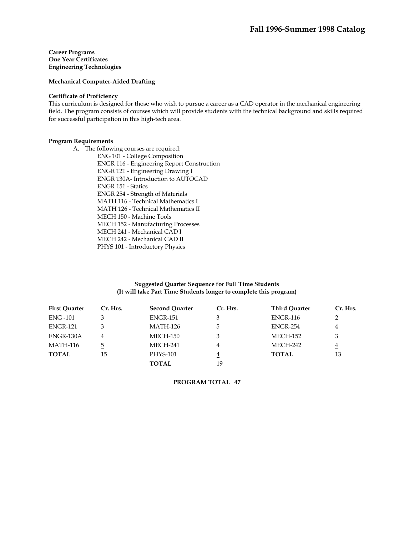# **Mechanical Computer-Aided Drafting**

#### **Certificate of Proficiency**

This curriculum is designed for those who wish to pursue a career as a CAD operator in the mechanical engineering field. The program consists of courses which will provide students with the technical background and skills required for successful participation in this high-tech area.

# **Program Requirements**

A. The following courses are required: ENG 101 - College Composition ENGR 116 - Engineering Report Construction ENGR 121 - Engineering Drawing I ENGR 130A- Introduction to AUTOCAD ENGR 151 - Statics ENGR 254 - Strength of Materials MATH 116 - Technical Mathematics I MATH 126 - Technical Mathematics II MECH 150 - Machine Tools MECH 152 - Manufacturing Processes MECH 241 - Mechanical CAD I MECH 242 - Mechanical CAD II PHYS 101 - Introductory Physics

## **Suggested Quarter Sequence for Full Time Students (It will take Part Time Students longer to complete this program)**

| <b>First Quarter</b> | Cr. Hrs. | <b>Second Quarter</b> | Cr. Hrs. | <b>Third Quarter</b> | Cr. Hrs.       |
|----------------------|----------|-----------------------|----------|----------------------|----------------|
| <b>ENG-101</b>       |          | <b>ENGR-151</b>       |          | <b>ENGR-116</b>      | 2              |
| <b>ENGR-121</b>      |          | <b>MATH-126</b>       | 5.       | ENGR-254             | 4              |
| ENGR-130A            | 4        | MECH-150              |          | MECH-152             | 3              |
| <b>MATH-116</b>      | 5        | MECH-241              | 4        | MECH-242             | $\overline{4}$ |
| <b>TOTAL</b>         | 15       | <b>PHYS-101</b>       | 4        | <b>TOTAL</b>         | 13             |
|                      |          | <b>TOTAL</b>          | 19       |                      |                |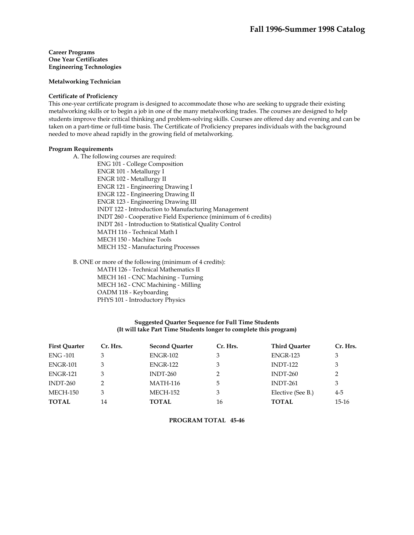#### **Metalworking Technician**

#### **Certificate of Proficiency**

This one-year certificate program is designed to accommodate those who are seeking to upgrade their existing metalworking skills or to begin a job in one of the many metalworking trades. The courses are designed to help students improve their critical thinking and problem-solving skills. Courses are offered day and evening and can be taken on a part-time or full-time basis. The Certificate of Proficiency prepares individuals with the background needed to move ahead rapidly in the growing field of metalworking.

#### **Program Requirements**

A. The following courses are required:

ENG 101 - College Composition ENGR 101 - Metallurgy I ENGR 102 - Metallurgy II ENGR 121 - Engineering Drawing I ENGR 122 - Engineering Drawing II ENGR 123 - Engineering Drawing III INDT 122 - Introduction to Manufacturing Management INDT 260 - Cooperative Field Experience (minimum of 6 credits) INDT 261 - Introduction to Statistical Quality Control MATH 116 - Technical Math I MECH 150 - Machine Tools MECH 152 - Manufacturing Processes

B. ONE or more of the following (minimum of 4 credits):

MATH 126 - Technical Mathematics II

MECH 161 - CNC Machining - Turning

MECH 162 - CNC Machining - Milling

OADM 118 - Keyboarding

PHYS 101 - Introductory Physics

## **Suggested Quarter Sequence for Full Time Students (It will take Part Time Students longer to complete this program)**

| <b>First Ouarter</b> | Cr. Hrs. | <b>Second Ouarter</b> | Cr. Hrs. | <b>Third Ouarter</b> | Cr. Hrs. |
|----------------------|----------|-----------------------|----------|----------------------|----------|
| <b>ENG -101</b>      |          | <b>ENGR-102</b>       |          | <b>ENGR-123</b>      | 3        |
| ENGR-101             | 3        | <b>ENGR-122</b>       | 3        | <b>INDT-122</b>      | 3        |
| <b>ENGR-121</b>      | 3        | $INDT-260$            |          | $INDT-260$           | 2        |
| INDT-260             |          | <b>MATH-116</b>       | 5        | $INDT-261$           | 3        |
| MECH-150             | 3        | <b>MECH-152</b>       | 3        | Elective (See B.)    | $4 - 5$  |
| <b>TOTAL</b>         | 14       | <b>TOTAL</b>          | 16       | <b>TOTAL</b>         | $15-16$  |

**PROGRAM TOTAL 45-46**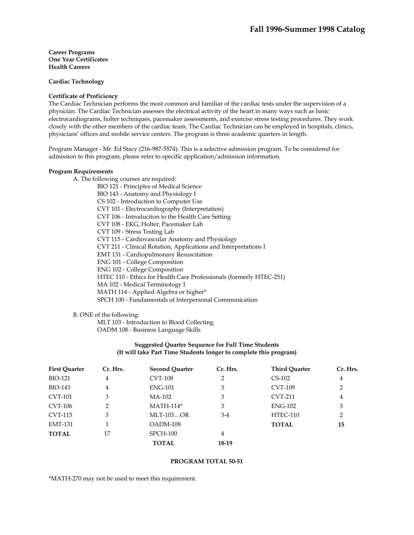**Cardiac Technology** 

#### **Certificate of Proficiency**

The Cardiac Technician performs the most common and familiar of the cardiac tests under the supervision of a physician. The Cardiac Technician assesses the electrical activity of the heart in many ways such as basic electrocardiograms, holter techniques, pacemaker assessments, and exercise stress testing procedures. They work closely with the other members of the cardiac team. The Cardiac Technician can be employed in hospitals, clinics, physicians' offices and mobile service centers. The program is three academic quarters in length.

Program Manager - Mr. Ed Stacy (216-987-5574). This is a selective admission program. To be considered for admission to this program, please refer to specific application/admission information.

#### **Program Requirements**

A. The following courses are required:

BIO 121 - Principles of Medical Science BIO 143 - Anatomy and Physiology I CS 102 - Introduction to Computer Use CVT 101 - Electrocardiography (Interpretation) CVT 106 - Introduction to the Health Care Setting CVT 108 - EKG, Holter, Pacemaker Lab CVT 109 - Stress Testing Lab CVT 115 - Cardiovascular Anatomy and Physiology CVT 211 - Clinical Rotation, Applications and Interpretations I EMT 131 - Cardiopulmonary Resuscitation ENG 101 - College Composition ENG 102 - College Composition HTEC 110 - Ethics for Health Care Professionals (formerly HTEC-251) MA 102 - Medical Terminology I MATH 114 - Applied Algebra or higher\* SPCH 100 - Fundamentals of Interpersonal Communication

B. ONE of the following:

 MLT 103 - Introduction to Blood Collecting OADM 108 - Business Language Skills

## **Suggested Quarter Sequence for Full Time Students (It will take Part Time Students longer to complete this program)**

| <b>First Quarter</b> | Cr. Hrs.       | <b>Second Quarter</b> | Cr. Hrs. | <b>Third Ouarter</b> | Cr. Hrs.       |
|----------------------|----------------|-----------------------|----------|----------------------|----------------|
| <b>BIO-121</b>       | 4              | <b>CVT-108</b>        | 2        | $CS-102$             | 4              |
| BIO-143              | 4              | <b>ENG-101</b>        | 3        | <b>CVT-109</b>       | $\overline{2}$ |
| <b>CVT-101</b>       | 3              | MA-102                | 3        | <b>CVT-211</b>       | 4              |
| CVT-106              | $\overline{2}$ | $MATH-114*$           | 3        | $ENG-102$            | 3              |
| CVT-115              | 3              | <b>MLT-103OR</b>      | $3-4$    | HTEC-110             | $\overline{2}$ |
| <b>EMT-131</b>       |                | $OADM-108$            |          | <b>TOTAL</b>         | 15             |
| <b>TOTAL</b>         | 17             | SPCH-100              | 4        |                      |                |
|                      |                | <b>TOTAL</b>          | 18-19    |                      |                |

#### **PROGRAM TOTAL 50-51**

\*MATH-270 may not be used to meet this requirement.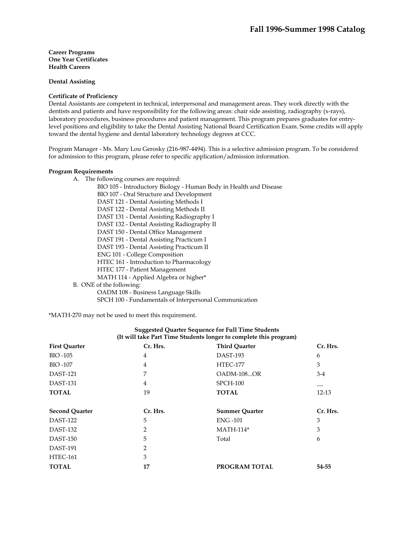**Dental Assisting** 

## **Certificate of Proficiency**

Dental Assistants are competent in technical, interpersonal and management areas. They work directly with the dentists and patients and have responsibility for the following areas: chair side assisting, radiography (x-rays), laboratory procedures, business procedures and patient management. This program prepares graduates for entrylevel positions and eligibility to take the Dental Assisting National Board Certification Exam. Some credits will apply toward the dental hygiene and dental laboratory technology degrees at CCC.

Program Manager - Ms. Mary Lou Gerosky (216-987-4494). This is a selective admission program. To be considered for admission to this program, please refer to specific application/admission information.

#### **Program Requirements**

A. The following courses are required:

 BIO 105 - Introductory Biology - Human Body in Health and Disease BIO 107 - Oral Structure and Development DAST 121 - Dental Assisting Methods I DAST 122 - Dental Assisting Methods II DAST 131 - Dental Assisting Radiography I DAST 132 - Dental Assisting Radiography II DAST 150 - Dental Office Management DAST 191 - Dental Assisting Practicum I DAST 193 - Dental Assisting Practicum II ENG 101 - College Composition HTEC 161 - Introduction to Pharmacology HTEC 177 - Patient Management MATH 114 - Applied Algebra or higher\* B. ONE of the following:

 OADM 108 - Business Language Skills SPCH 100 - Fundamentals of Interpersonal Communication

\*MATH-270 may not be used to meet this requirement.

| (it will take part 1 lime Students longer to complete this program) |                |                       |          |  |  |
|---------------------------------------------------------------------|----------------|-----------------------|----------|--|--|
| <b>First Quarter</b>                                                | Cr. Hrs.       | <b>Third Quarter</b>  | Cr. Hrs. |  |  |
| <b>BIO-105</b>                                                      | 4              | DAST-193              | 6        |  |  |
| <b>BIO-107</b>                                                      | $\overline{4}$ | <b>HTEC-177</b>       | 3        |  |  |
| <b>DAST-121</b>                                                     | 7              | OADM-108OR            | $3-4$    |  |  |
| DAST-131                                                            | $\overline{4}$ | $SPCH-100$            |          |  |  |
| <b>TOTAL</b>                                                        | 19             | <b>TOTAL</b>          | 12-13    |  |  |
| <b>Second Quarter</b>                                               | Cr. Hrs.       | <b>Summer Quarter</b> | Cr. Hrs. |  |  |
| DAST-122                                                            | 5              | <b>ENG-101</b>        | 3        |  |  |
| DAST-132                                                            | 2              | $MATH-114*$           | 3        |  |  |
| DAST-150                                                            | 5              | Total                 | 6        |  |  |
| <b>DAST-191</b>                                                     | 2              |                       |          |  |  |
| HTEC-161                                                            | 3              |                       |          |  |  |
| <b>TOTAL</b>                                                        | 17             | <b>PROGRAM TOTAL</b>  | 54-55    |  |  |

# **Suggested Quarter Sequence for Full Time Students (It will take Part Time Students longer to complete this program)**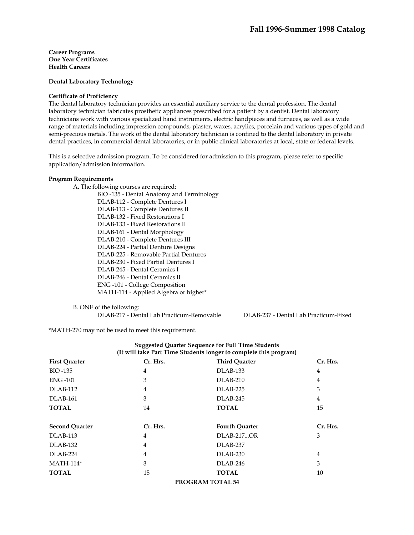**Dental Laboratory Technology** 

#### **Certificate of Proficiency**

The dental laboratory technician provides an essential auxiliary service to the dental profession. The dental laboratory technician fabricates prosthetic appliances prescribed for a patient by a dentist. Dental laboratory technicians work with various specialized hand instruments, electric handpieces and furnaces, as well as a wide range of materials including impression compounds, plaster, waxes, acrylics, porcelain and various types of gold and semi-precious metals. The work of the dental laboratory technician is confined to the dental laboratory in private dental practices, in commercial dental laboratories, or in public clinical laboratories at local, state or federal levels.

This is a selective admission program. To be considered for admission to this program, please refer to specific application/admission information.

#### **Program Requirements**

- A. The following courses are required:
	- BIO -135 Dental Anatomy and Terminology DLAB-112 - Complete Dentures I DLAB-113 - Complete Dentures II DLAB-132 - Fixed Restorations I DLAB-133 - Fixed Restorations II DLAB-161 - Dental Morphology DLAB-210 - Complete Dentures III DLAB-224 - Partial Denture Designs DLAB-225 - Removable Partial Dentures DLAB-230 - Fixed Partial Dentures I DLAB-245 - Dental Ceramics I DLAB-246 - Dental Ceramics II ENG -101 - College Composition MATH-114 - Applied Algebra or higher\*

B. ONE of the following:

DLAB-217 - Dental Lab Practicum-Removable DLAB-237 - Dental Lab Practicum-Fixed

\*MATH-270 may not be used to meet this requirement.

| (It will take Part Time Students longer to complete this program) |                         |                       |                |  |  |
|-------------------------------------------------------------------|-------------------------|-----------------------|----------------|--|--|
| <b>First Quarter</b>                                              | Cr. Hrs.                | <b>Third Quarter</b>  | Cr. Hrs.       |  |  |
| <b>BIO-135</b>                                                    | 4                       | <b>DLAB-133</b>       | 4              |  |  |
| <b>ENG -101</b>                                                   | 3                       | DLAB-210              | $\overline{4}$ |  |  |
| DLAB-112                                                          | 4                       | DLAB-225              | 3              |  |  |
| DLAB-161                                                          | 3                       | DLAB-245              | $\overline{4}$ |  |  |
| <b>TOTAL</b>                                                      | 14                      | <b>TOTAL</b>          | 15             |  |  |
|                                                                   |                         |                       |                |  |  |
| <b>Second Quarter</b>                                             | Cr. Hrs.                | <b>Fourth Quarter</b> | Cr. Hrs.       |  |  |
| DLAB-113                                                          | 4                       | <b>DLAB-217OR</b>     | 3              |  |  |
| DLAB-132                                                          | 4                       | DLAB-237              |                |  |  |
| DLAB-224                                                          | 4                       | DLAB-230              | 4              |  |  |
| $MATH-114*$                                                       | 3                       | DLAB-246              | 3              |  |  |
| <b>TOTAL</b>                                                      | 15                      | <b>TOTAL</b>          | 10             |  |  |
|                                                                   | <b>PROGRAM TOTAL 54</b> |                       |                |  |  |

# **Suggested Quarter Sequence for Full Time Students**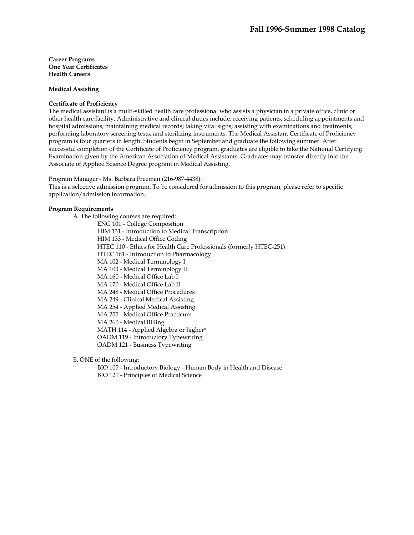## **Medical Assisting**

#### **Certificate of Proficiency**

The medical assistant is a multi-skilled health care professional who assists a physician in a private office, clinic or other health care facility. Administrative and clinical duties include; receiving patients, scheduling appointments and hospital admissions; maintaining medical records; taking vital signs; assisting with examinations and treatments; performing laboratory screening tests; and sterilizing instruments. The Medical Assistant Certificate of Proficiency program is four quarters in length. Students begin in September and graduate the following summer. After successful completion of the Certificate of Proficiency program, graduates are eligible to take the National Certifying Examination given by the American Association of Medical Assistants. Graduates may transfer directly into the Associate of Applied Science Degree program in Medical Assisting.

Program Manager - Ms. Barbara Freeman (216-987-4438).

This is a selective admission program. To be considered for admission to this program, please refer to specific application/admission information.

# **Program Requirements**

 A. The following courses are required: ENG 101 - College Composition HIM 131 - Introduction to Medical Transcription HIM 133 - Medical Office Coding HTEC 110 - Ethics for Health Care Professionals (formerly HTEC-251) HTEC 161 - Introduction to Pharmacology MA 102 - Medical Terminology I MA 103 - Medical Terminology II MA 160 - Medical Office Lab I MA 170 - Medical Office Lab II MA 248 - Medical Office Procedures MA 249 - Clinical Medical Assisting MA 254 - Applied Medical Assisting MA 255 - Medical Office Practicum MA 260 - Medical Billing MATH 114 - Applied Algebra or higher\* OADM 119 - Introductory Typewriting OADM 121 - Business Typewriting

B. ONE of the following:

 BIO 105 - Introductory Biology - Human Body in Health and Disease BIO 121 - Principles of Medical Science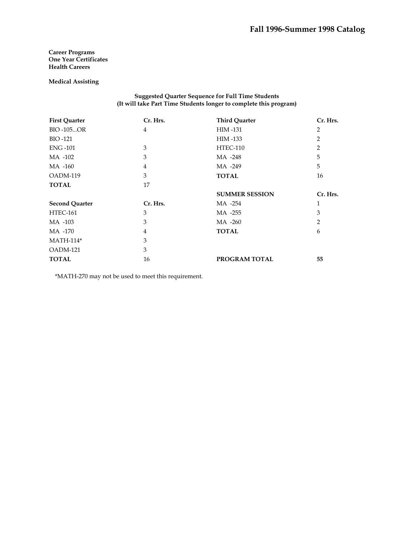**Medical Assisting** 

**Suggested Quarter Sequence for Full Time Students (It will take Part Time Students longer to complete this program)** 

| <b>First Quarter</b>  | Cr. Hrs.       | <b>Third Quarter</b>  | Cr. Hrs.       |
|-----------------------|----------------|-----------------------|----------------|
| <b>BIO-105OR</b>      | $\overline{4}$ | <b>HIM-131</b>        | 2              |
| BIO -121              |                | HIM -133              | 2              |
| <b>ENG-101</b>        | 3              | HTEC-110              | $\overline{2}$ |
| MA -102               | 3              | MA -248               | 5              |
| MA -160               | $\overline{4}$ | MA -249               | 5              |
| OADM-119              | 3              | <b>TOTAL</b>          | 16             |
| <b>TOTAL</b>          | 17             |                       |                |
|                       |                | <b>SUMMER SESSION</b> | Cr. Hrs.       |
| <b>Second Quarter</b> | Cr. Hrs.       | MA -254               | 1              |
|                       |                |                       |                |
| HTEC-161              | 3              | MA -255               | 3              |
| MA -103               | 3              | MA -260               | 2              |
| MA -170               | $\overline{4}$ | <b>TOTAL</b>          | 6              |
| $MATH-114*$           | 3              |                       |                |
| OADM-121              | 3              |                       |                |

\*MATH-270 may not be used to meet this requirement.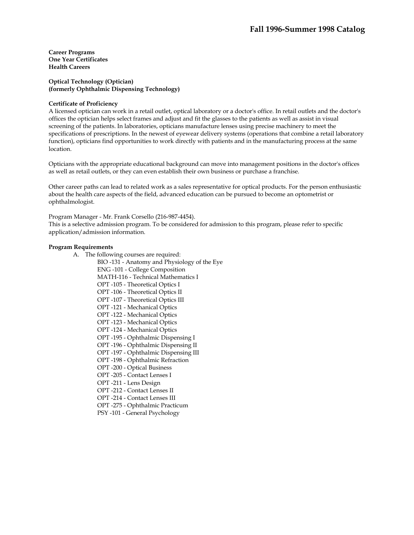**Optical Technology (Optician) (formerly Ophthalmic Dispensing Technology)** 

#### **Certificate of Proficiency**

A licensed optician can work in a retail outlet, optical laboratory or a doctor's office. In retail outlets and the doctor's offices the optician helps select frames and adjust and fit the glasses to the patients as well as assist in visual screening of the patients. In laboratories, opticians manufacture lenses using precise machinery to meet the specifications of prescriptions. In the newest of eyewear delivery systems (operations that combine a retail laboratory function), opticians find opportunities to work directly with patients and in the manufacturing process at the same location.

Opticians with the appropriate educational background can move into management positions in the doctor's offices as well as retail outlets, or they can even establish their own business or purchase a franchise.

Other career paths can lead to related work as a sales representative for optical products. For the person enthusiastic about the health care aspects of the field, advanced education can be pursued to become an optometrist or ophthalmologist.

Program Manager - Mr. Frank Corsello (216-987-4454).

This is a selective admission program. To be considered for admission to this program, please refer to specific application/admission information.

#### **Program Requirements**

- A. The following courses are required:
	- BIO -131 Anatomy and Physiology of the Eye ENG -101 - College Composition MATH-116 - Technical Mathematics I OPT -105 - Theoretical Optics I OPT -106 - Theoretical Optics II OPT -107 - Theoretical Optics III OPT -121 - Mechanical Optics OPT -122 - Mechanical Optics OPT -123 - Mechanical Optics OPT -124 - Mechanical Optics OPT -195 - Ophthalmic Dispensing I OPT -196 - Ophthalmic Dispensing II OPT -197 - Ophthalmic Dispensing III OPT -198 - Ophthalmic Refraction OPT -200 - Optical Business OPT -205 - Contact Lenses I OPT -211 - Lens Design OPT -212 - Contact Lenses II OPT -214 - Contact Lenses III OPT -275 - Ophthalmic Practicum PSY -101 - General Psychology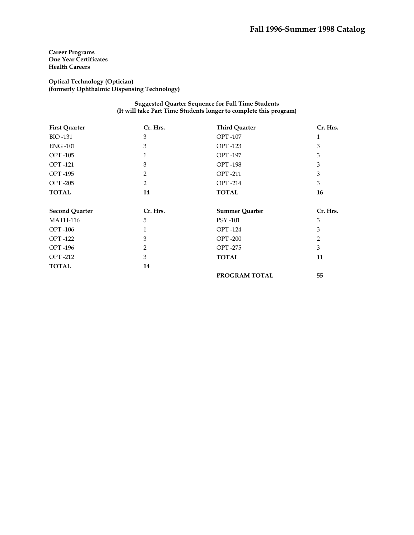**Optical Technology (Optician) (formerly Ophthalmic Dispensing Technology)** 

> **Suggested Quarter Sequence for Full Time Students (It will take Part Time Students longer to complete this program)**

| <b>First Quarter</b>  | Cr. Hrs.       | <b>Third Quarter</b>  | Cr. Hrs.     |
|-----------------------|----------------|-----------------------|--------------|
| <b>BIO-131</b>        | 3              | <b>OPT-107</b>        | $\mathbf{1}$ |
| <b>ENG-101</b>        | 3              | <b>OPT-123</b>        | 3            |
| <b>OPT-105</b>        | 1              | <b>OPT-197</b>        | 3            |
| <b>OPT-121</b>        | 3              | <b>OPT-198</b>        | 3            |
| <b>OPT-195</b>        | 2              | <b>OPT-211</b>        | 3            |
| <b>OPT-205</b>        | $\overline{2}$ | <b>OPT-214</b>        | 3            |
| <b>TOTAL</b>          | 14             | <b>TOTAL</b>          | 16           |
| <b>Second Quarter</b> | Cr. Hrs.       | <b>Summer Quarter</b> | Cr. Hrs.     |
| <b>MATH-116</b>       | 5              | PSY -101              | 3            |
| <b>OPT-106</b>        | $\mathbf{1}$   | <b>OPT-124</b>        | 3            |
| <b>OPT</b> -122       | 3              | <b>OPT-200</b>        | 2            |
| <b>OPT-196</b>        | 2              | <b>OPT-275</b>        | 3            |
| <b>OPT-212</b>        | 3              | <b>TOTAL</b>          | 11           |
| <b>TOTAL</b>          | 14             |                       |              |
|                       |                | PROGRAM TOTAL         | 55           |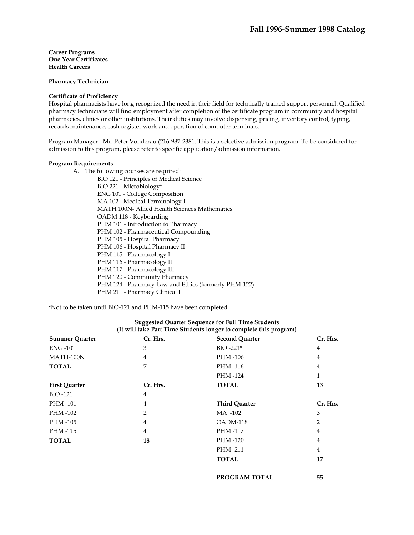**Pharmacy Technician** 

#### **Certificate of Proficiency**

Hospital pharmacists have long recognized the need in their field for technically trained support personnel. Qualified pharmacy technicians will find employment after completion of the certificate program in community and hospital pharmacies, clinics or other institutions. Their duties may involve dispensing, pricing, inventory control, typing, records maintenance, cash register work and operation of computer terminals.

Program Manager - Mr. Peter Vonderau (216-987-2381. This is a selective admission program. To be considered for admission to this program, please refer to specific application/admission information.

#### **Program Requirements**

A. The following courses are required:

BIO 121 - Principles of Medical Science BIO 221 - Microbiology\* ENG 101 - College Composition MA 102 - Medical Terminology I MATH 100N- Allied Health Sciences Mathematics OADM 118 - Keyboarding PHM 101 - Introduction to Pharmacy PHM 102 - Pharmaceutical Compounding PHM 105 - Hospital Pharmacy I PHM 106 - Hospital Pharmacy II PHM 115 - Pharmacology I PHM 116 - Pharmacology II PHM 117 - Pharmacology III PHM 120 - Community Pharmacy PHM 124 - Pharmacy Law and Ethics (formerly PHM-122) PHM 211 - Pharmacy Clinical I

\*Not to be taken until BIO-121 and PHM-115 have been completed.

| Cr. Hrs.       | <b>Second Quarter</b> | Cr. Hrs.       |
|----------------|-----------------------|----------------|
| 3              | $BIO -221*$           | 4              |
| 4              | PHM -106              | 4              |
| 7              | PHM -116              | 4              |
|                | PHM-124               | $\mathbf{1}$   |
| Cr. Hrs.       | <b>TOTAL</b>          | 13             |
| $\overline{4}$ |                       |                |
| 4              | <b>Third Quarter</b>  | Cr. Hrs.       |
| $\overline{2}$ | MA -102               | 3              |
| $\overline{4}$ | OADM-118              | 2              |
| 4              | PHM -117              | 4              |
| 18             | PHM-120               | 4              |
|                | PHM-211               | $\overline{4}$ |
|                | <b>TOTAL</b>          | 17             |
|                |                       |                |
|                |                       |                |

**PROGRAM TOTAL 55** 

# **Suggested Quarter Sequence for Full Time Students (It will take Part Time Students longer to complete this program)**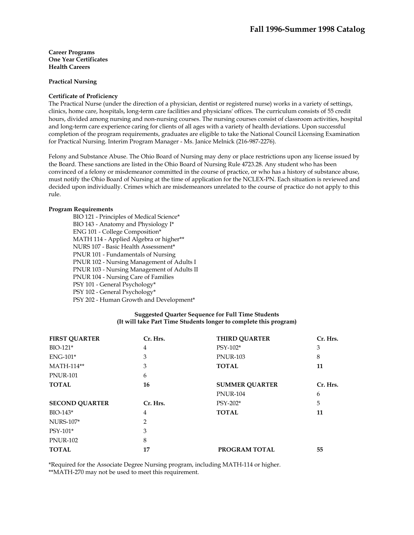**Practical Nursing** 

## **Certificate of Proficiency**

The Practical Nurse (under the direction of a physician, dentist or registered nurse) works in a variety of settings, clinics, home care, hospitals, long-term care facilities and physicians' offices. The curriculum consists of 55 credit hours, divided among nursing and non-nursing courses. The nursing courses consist of classroom activities, hospital and long-term care experience caring for clients of all ages with a variety of health deviations. Upon successful completion of the program requirements, graduates are eligible to take the National Council Licensing Examination for Practical Nursing. Interim Program Manager - Ms. Janice Melnick (216-987-2276).

Felony and Substance Abuse. The Ohio Board of Nursing may deny or place restrictions upon any license issued by the Board. These sanctions are listed in the Ohio Board of Nursing Rule 4723.28. Any student who has been convinced of a felony or misdemeanor committed in the course of practice, or who has a history of substance abuse, must notify the Ohio Board of Nursing at the time of application for the NCLEX-PN. Each situation is reviewed and decided upon individually. Crimes which are misdemeanors unrelated to the course of practice do not apply to this rule.

## **Program Requirements**

BIO 121 - Principles of Medical Science\* BIO 143 - Anatomy and Physiology I\* ENG 101 - College Composition\* MATH 114 - Applied Algebra or higher\*\* NURS 107 - Basic Health Assessment\* PNUR 101 - Fundamentals of Nursing PNUR 102 - Nursing Management of Adults I PNUR 103 - Nursing Management of Adults II PNUR 104 - Nursing Care of Families PSY 101 - General Psychology\* PSY 102 - General Psychology\* PSY 202 - Human Growth and Development\*

# **Suggested Quarter Sequence for Full Time Students (It will take Part Time Students longer to complete this program)**

| <b>FIRST QUARTER</b>  | Cr. Hrs.       | <b>THIRD QUARTER</b>  | Cr. Hrs. |
|-----------------------|----------------|-----------------------|----------|
| BIO-121*              | 4              | PSY-102*              | 3        |
| $ENG-101*$            | 3              | <b>PNUR-103</b>       | 8        |
| MATH-114**            | 3              | <b>TOTAL</b>          | 11       |
| <b>PNUR-101</b>       | 6              |                       |          |
| <b>TOTAL</b>          | 16             | <b>SUMMER QUARTER</b> | Cr. Hrs. |
|                       |                | <b>PNUR-104</b>       | 6        |
| <b>SECOND OUARTER</b> | Cr. Hrs.       | $PSY-202*$            | 5        |
| $BIO-143*$            | 4              | <b>TOTAL</b>          | 11       |
| <b>NURS-107*</b>      | $\overline{2}$ |                       |          |
| PSY-101*              | 3              |                       |          |
| <b>PNUR-102</b>       | 8              |                       |          |
| <b>TOTAL</b>          | 17             | PROGRAM TOTAL         | 55       |

\*Required for the Associate Degree Nursing program, including MATH-114 or higher. \*\*MATH-270 may not be used to meet this requirement.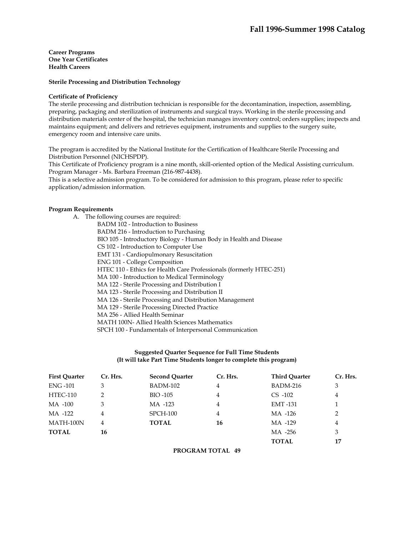#### **Sterile Processing and Distribution Technology**

#### **Certificate of Proficiency**

The sterile processing and distribution technician is responsible for the decontamination, inspection, assembling, preparing, packaging and sterilization of instruments and surgical trays. Working in the sterile processing and distribution materials center of the hospital, the technician manages inventory control; orders supplies; inspects and maintains equipment; and delivers and retrieves equipment, instruments and supplies to the surgery suite, emergency room and intensive care units.

The program is accredited by the National Institute for the Certification of Healthcare Sterile Processing and Distribution Personnel (NICHSPDP).

This Certificate of Proficiency program is a nine month, skill-oriented option of the Medical Assisting curriculum. Program Manager - Ms. Barbara Freeman (216-987-4438).

This is a selective admission program. To be considered for admission to this program, please refer to specific application/admission information.

## **Program Requirements**

| А. | The following courses are required:                                 |
|----|---------------------------------------------------------------------|
|    | <b>BADM 102 - Introduction to Business</b>                          |
|    | BADM 216 - Introduction to Purchasing                               |
|    | BIO 105 - Introductory Biology - Human Body in Health and Disease   |
|    | CS 102 - Introduction to Computer Use                               |
|    | <b>EMT 131 - Cardiopulmonary Resuscitation</b>                      |
|    | <b>ENG 101 - College Composition</b>                                |
|    | HTEC 110 - Ethics for Health Care Professionals (formerly HTEC-251) |
|    | MA 100 - Introduction to Medical Terminology                        |
|    | MA 122 - Sterile Processing and Distribution I                      |
|    | MA 123 - Sterile Processing and Distribution II                     |
|    | MA 126 - Sterile Processing and Distribution Management             |
|    | MA 129 - Sterile Processing Directed Practice                       |
|    | MA 256 - Allied Health Seminar                                      |
|    | MATH 100N- Allied Health Sciences Mathematics                       |
|    | SPCH 100 - Fundamentals of Interpersonal Communication              |

# **Suggested Quarter Sequence for Full Time Students (It will take Part Time Students longer to complete this program)**

| <b>First Ouarter</b> | Cr. Hrs. | <b>Second Quarter</b> | Cr. Hrs.       | <b>Third Ouarter</b> | Cr. Hrs.       |
|----------------------|----------|-----------------------|----------------|----------------------|----------------|
| <b>ENG-101</b>       | 3        | <b>BADM-102</b>       | 4              | BADM-216             | 3              |
| <b>HTEC-110</b>      | 2        | BIO -105              | 4              | $CS -102$            | $\overline{4}$ |
| MA -100              | 3        | MA -123               | $\overline{4}$ | <b>EMT-131</b>       | 1              |
| MA -122              | 4        | $SPCH-100$            | 4              | MA -126              | 2              |
| MATH-100N            | 4        | <b>TOTAL</b>          | 16             | MA -129              | 4              |
| <b>TOTAL</b>         | 16       |                       |                | MA -256              | 3              |
|                      |          |                       |                | <b>TOTAL</b>         | 17             |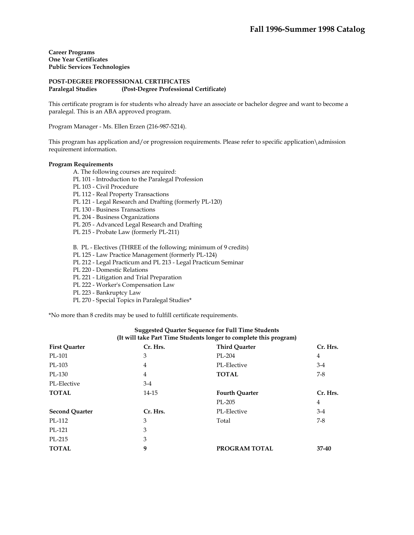**Career Programs One Year Certificates Public Services Technologies** 

# **POST-DEGREE PROFESSIONAL CERTIFICATES Paralegal Studies (Post-Degree Professional Certificate)**

This certificate program is for students who already have an associate or bachelor degree and want to become a paralegal. This is an ABA approved program.

Program Manager - Ms. Ellen Erzen (216-987-5214).

This program has application and/or progression requirements. Please refer to specific application\admission requirement information.

## **Program Requirements**

- A. The following courses are required:
- PL 101 Introduction to the Paralegal Profession
- PL 103 Civil Procedure
- PL 112 Real Property Transactions
- PL 121 Legal Research and Drafting (formerly PL-120)
- PL 130 Business Transactions
- PL 204 Business Organizations
- PL 205 Advanced Legal Research and Drafting
- PL 215 Probate Law (formerly PL-211)
- B. PL Electives (THREE of the following; minimum of 9 credits)
- PL 125 Law Practice Management (formerly PL-124)
- PL 212 Legal Practicum and PL 213 Legal Practicum Seminar
- PL 220 Domestic Relations
- PL 221 Litigation and Trial Preparation
- PL 222 Worker's Compensation Law
- PL 223 Bankruptcy Law
- PL 270 Special Topics in Paralegal Studies\*

\*No more than 8 credits may be used to fulfill certificate requirements.

| (It will take Part Time Students longer to complete this program) |          |                       |                |  |
|-------------------------------------------------------------------|----------|-----------------------|----------------|--|
| <b>First Quarter</b>                                              | Cr. Hrs. | <b>Third Quarter</b>  | Cr. Hrs.       |  |
| PL-101                                                            | 3        | PL-204                | 4              |  |
| PL-103                                                            | 4        | PL-Elective           | $3-4$          |  |
| PL-130                                                            | 4        | <b>TOTAL</b>          | $7-8$          |  |
| PL-Elective                                                       | $3-4$    |                       |                |  |
| <b>TOTAL</b>                                                      | 14-15    | <b>Fourth Quarter</b> | Cr. Hrs.       |  |
|                                                                   |          | PL-205                | $\overline{4}$ |  |
| <b>Second Quarter</b>                                             | Cr. Hrs. | PL-Elective           | $3-4$          |  |
| PL-112                                                            | 3        | Total                 | $7-8$          |  |
| $PI - 121$                                                        | 3        |                       |                |  |
| PL-215                                                            | 3        |                       |                |  |
| <b>TOTAL</b>                                                      | 9        | PROGRAM TOTAL         | 37-40          |  |

# **Suggested Quarter Sequence for Full Time Students (It will take Part Time Students longer to complete this program)**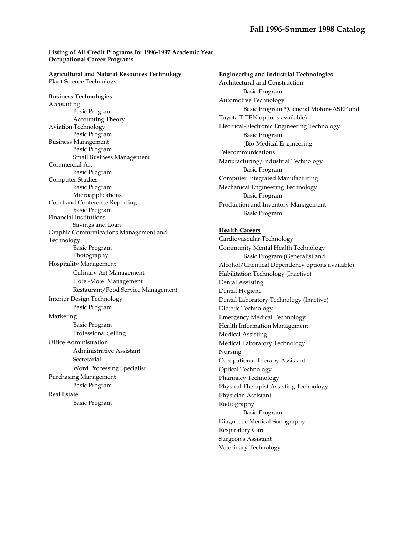# **[Listing of All Credit Programs](http://collection.tri-c.edu/catalog/9698/PRGM-LST/QS-LIST.HTM) for 1996-1997 Academic Year Occupational Career Programs**

#### **Agricultural and Natural Resources Technology**  Plant Science Technology

**Business Technologies**  Accounting Basic Program Accounting Theory Aviation Technology Basic Program Business Management Basic Program Small Business Management Commercial Art Basic Program Computer Studies Basic Program Microapplications Court and Conference Reporting Basic Program Financial Institutions Savings and Loan Graphic Communications Management and Technology Basic Program Photography Hospitality Management Culinary Art Management Hotel-Motel Management Restaurant/Food Service Management Interior Design Technology Basic Program Marketing Basic Program Professional Selling Office Administration Administrative Assistant **Secretarial**  Word Processing Specialist Purchasing Management Basic Program Real Estate Basic Program

**Engineering and Industrial Technologies**  Architectural and Construction Basic Program Automotive Technology Basic Program \*(General Motors-ASEP and Toyota T-TEN options available) Electrical-Electronic Engineering Technology Basic Program (Bio-Medical Engineering Telecommunications Manufacturing/Industrial Technology Basic Program Computer Integrated Manufacturing Mechanical Engineering Technology Basic Program Production and Inventory Management Basic Program

# **Health Careers**

Cardiovascular Technology Community Mental Health Technology Basic Program (Generalist and Alcohol/Chemical Dependency options available) Habilitation Technology (Inactive) Dental Assisting Dental Hygiene Dental Laboratory Technology (Inactive) Dietetic Technology Emergency Medical Technology Health Information Management Medical Assisting Medical Laboratory Technology Nursing Occupational Therapy Assistant Optical Technology Pharmacy Technology Physical Therapist Assisting Technology Physician Assistant Radiography Basic Program Diagnostic Medical Sonography Respiratory Care Surgeon's Assistant Veterinary Technology